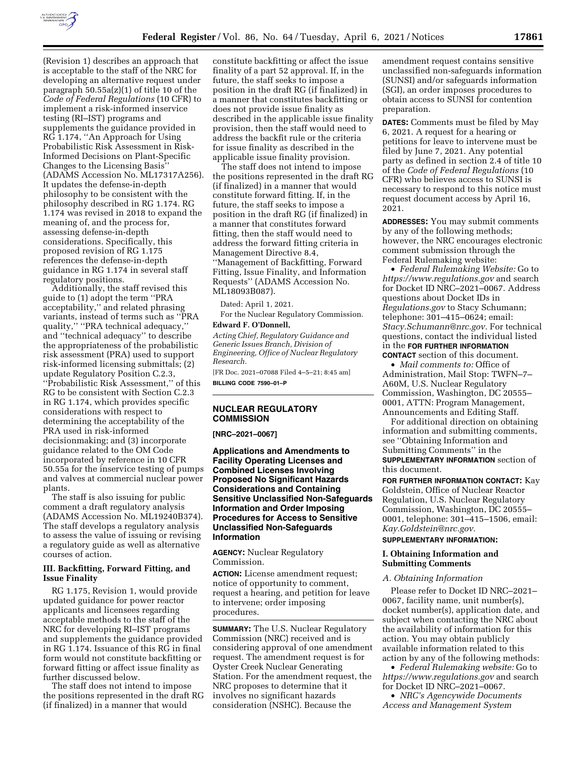

(Revision 1) describes an approach that is acceptable to the staff of the NRC for developing an alternative request under paragraph 50.55a(z)(1) of title 10 of the *Code of Federal Regulations* (10 CFR) to implement a risk-informed inservice testing (RI–IST) programs and supplements the guidance provided in RG 1.174, ''An Approach for Using Probabilistic Risk Assessment in Risk-Informed Decisions on Plant-Specific Changes to the Licensing Basis'' (ADAMS Accession No. ML17317A256). It updates the defense-in-depth philosophy to be consistent with the philosophy described in RG 1.174. RG 1.174 was revised in 2018 to expand the meaning of, and the process for, assessing defense-in-depth considerations. Specifically, this proposed revision of RG 1.175 references the defense-in-depth guidance in RG 1.174 in several staff regulatory positions.

Additionally, the staff revised this guide to (1) adopt the term ''PRA acceptability,'' and related phrasing variants, instead of terms such as ''PRA quality,'' ''PRA technical adequacy,'' and ''technical adequacy'' to describe the appropriateness of the probabilistic risk assessment (PRA) used to support risk-informed licensing submittals; (2) update Regulatory Position C.2.3, ''Probabilistic Risk Assessment,'' of this RG to be consistent with Section C.2.3 in RG 1.174, which provides specific considerations with respect to determining the acceptability of the PRA used in risk-informed decisionmaking; and (3) incorporate guidance related to the OM Code incorporated by reference in 10 CFR 50.55a for the inservice testing of pumps and valves at commercial nuclear power plants.

The staff is also issuing for public comment a draft regulatory analysis (ADAMS Accession No. ML19240B374). The staff develops a regulatory analysis to assess the value of issuing or revising a regulatory guide as well as alternative courses of action.

## **III. Backfitting, Forward Fitting, and Issue Finality**

RG 1.175, Revision 1, would provide updated guidance for power reactor applicants and licensees regarding acceptable methods to the staff of the NRC for developing RI–IST programs and supplements the guidance provided in RG 1.174. Issuance of this RG in final form would not constitute backfitting or forward fitting or affect issue finality as further discussed below.

The staff does not intend to impose the positions represented in the draft RG (if finalized) in a manner that would

constitute backfitting or affect the issue finality of a part 52 approval. If, in the future, the staff seeks to impose a position in the draft RG (if finalized) in a manner that constitutes backfitting or does not provide issue finality as described in the applicable issue finality provision, then the staff would need to address the backfit rule or the criteria for issue finality as described in the applicable issue finality provision.

The staff does not intend to impose the positions represented in the draft RG (if finalized) in a manner that would constitute forward fitting. If, in the future, the staff seeks to impose a position in the draft RG (if finalized) in a manner that constitutes forward fitting, then the staff would need to address the forward fitting criteria in Management Directive 8.4, ''Management of Backfitting, Forward Fitting, Issue Finality, and Information Requests'' (ADAMS Accession No. ML18093B087).

Dated: April 1, 2021.

For the Nuclear Regulatory Commission. **Edward F. O'Donnell,** 

*Acting Chief, Regulatory Guidance and Generic Issues Branch, Division of Engineering, Office of Nuclear Regulatory Research.* 

[FR Doc. 2021–07088 Filed 4–5–21; 8:45 am] **BILLING CODE 7590–01–P** 

### **NUCLEAR REGULATORY COMMISSION**

**[NRC–2021–0067]** 

**Applications and Amendments to Facility Operating Licenses and Combined Licenses Involving Proposed No Significant Hazards Considerations and Containing Sensitive Unclassified Non-Safeguards Information and Order Imposing Procedures for Access to Sensitive Unclassified Non-Safeguards Information** 

**AGENCY:** Nuclear Regulatory Commission.

**ACTION:** License amendment request; notice of opportunity to comment, request a hearing, and petition for leave to intervene; order imposing procedures.

**SUMMARY:** The U.S. Nuclear Regulatory Commission (NRC) received and is considering approval of one amendment request. The amendment request is for Oyster Creek Nuclear Generating Station. For the amendment request, the NRC proposes to determine that it involves no significant hazards consideration (NSHC). Because the

amendment request contains sensitive unclassified non-safeguards information (SUNSI) and/or safeguards information (SGI), an order imposes procedures to obtain access to SUNSI for contention preparation.

**DATES:** Comments must be filed by May 6, 2021. A request for a hearing or petitions for leave to intervene must be filed by June 7, 2021. Any potential party as defined in section 2.4 of title 10 of the *Code of Federal Regulations* (10 CFR) who believes access to SUNSI is necessary to respond to this notice must request document access by April 16, 2021.

**ADDRESSES:** You may submit comments by any of the following methods; however, the NRC encourages electronic comment submission through the Federal Rulemaking website:

• *Federal Rulemaking Website:* Go to *<https://www.regulations.gov>* and search for Docket ID NRC–2021–0067. Address questions about Docket IDs in *Regulations.gov* to Stacy Schumann; telephone: 301–415–0624; email: *[Stacy.Schumann@nrc.gov.](mailto:Stacy.Schumann@nrc.gov)* For technical questions, contact the individual listed in the **FOR FURTHER INFORMATION CONTACT** section of this document.

• *Mail comments to:* Office of Administration, Mail Stop: TWFN–7– A60M, U.S. Nuclear Regulatory Commission, Washington, DC 20555– 0001, ATTN: Program Management, Announcements and Editing Staff.

For additional direction on obtaining information and submitting comments, see ''Obtaining Information and Submitting Comments'' in the **SUPPLEMENTARY INFORMATION** section of this document.

**FOR FURTHER INFORMATION CONTACT:** Kay Goldstein, Office of Nuclear Reactor Regulation, U.S. Nuclear Regulatory Commission, Washington, DC 20555– 0001, telephone: 301–415–1506, email: *[Kay.Goldstein@nrc.gov.](mailto:Kay.Goldstein@nrc.gov)* 

### **SUPPLEMENTARY INFORMATION:**

### **I. Obtaining Information and Submitting Comments**

#### *A. Obtaining Information*

Please refer to Docket ID NRC–2021– 0067, facility name, unit number(s), docket number(s), application date, and subject when contacting the NRC about the availability of information for this action. You may obtain publicly available information related to this action by any of the following methods:

• *Federal Rulemaking website:* Go to *<https://www.regulations.gov>* and search for Docket ID NRC–2021–0067.

• *NRC's Agencywide Documents Access and Management System*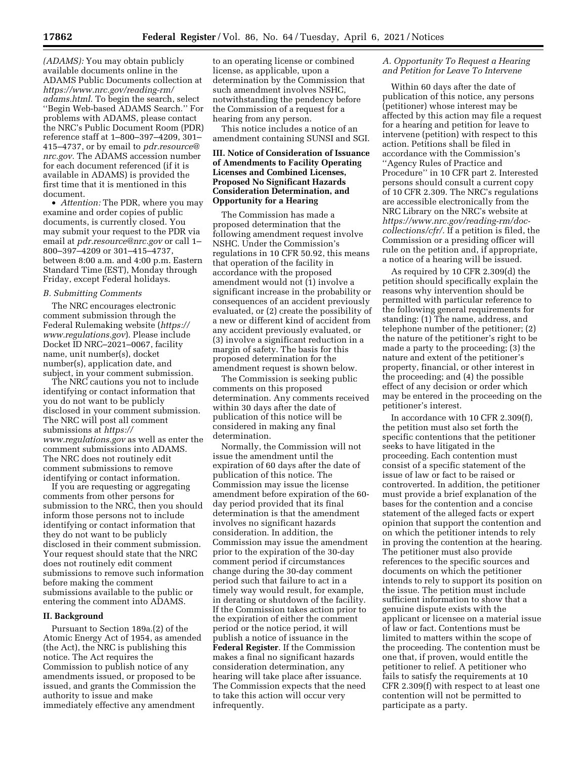*(ADAMS):* You may obtain publicly available documents online in the ADAMS Public Documents collection at *[https://www.nrc.gov/reading-rm/](https://www.nrc.gov/reading-rm/adams.html)  [adams.html.](https://www.nrc.gov/reading-rm/adams.html)* To begin the search, select ''Begin Web-based ADAMS Search.'' For problems with ADAMS, please contact the NRC's Public Document Room (PDR) reference staff at 1–800–397–4209, 301– 415–4737, or by email to *[pdr.resource@](mailto:pdr.resource@nrc.gov) [nrc.gov.](mailto:pdr.resource@nrc.gov)* The ADAMS accession number for each document referenced (if it is available in ADAMS) is provided the first time that it is mentioned in this document.

• *Attention:* The PDR, where you may examine and order copies of public documents, is currently closed. You may submit your request to the PDR via email at *[pdr.resource@nrc.gov](mailto:pdr.resource@nrc.gov)* or call 1– 800–397–4209 or 301–415–4737, between 8:00 a.m. and 4:00 p.m. Eastern Standard Time (EST), Monday through Friday, except Federal holidays.

## *B. Submitting Comments*

The NRC encourages electronic comment submission through the Federal Rulemaking website (*[https://](https://www.regulations.gov) [www.regulations.gov](https://www.regulations.gov)*). Please include Docket ID NRC–2021–0067, facility name, unit number(s), docket number(s), application date, and subject, in your comment submission.

The NRC cautions you not to include identifying or contact information that you do not want to be publicly disclosed in your comment submission. The NRC will post all comment submissions at *[https://](https://www.regulations.gov) [www.regulations.gov](https://www.regulations.gov)* as well as enter the comment submissions into ADAMS. The NRC does not routinely edit comment submissions to remove identifying or contact information.

If you are requesting or aggregating comments from other persons for submission to the NRC, then you should inform those persons not to include identifying or contact information that they do not want to be publicly disclosed in their comment submission. Your request should state that the NRC does not routinely edit comment submissions to remove such information before making the comment submissions available to the public or entering the comment into ADAMS.

## **II. Background**

Pursuant to Section 189a.(2) of the Atomic Energy Act of 1954, as amended (the Act), the NRC is publishing this notice. The Act requires the Commission to publish notice of any amendments issued, or proposed to be issued, and grants the Commission the authority to issue and make immediately effective any amendment

to an operating license or combined license, as applicable, upon a determination by the Commission that such amendment involves NSHC, notwithstanding the pendency before the Commission of a request for a hearing from any person.

This notice includes a notice of an amendment containing SUNSI and SGI.

### **III. Notice of Consideration of Issuance of Amendments to Facility Operating Licenses and Combined Licenses, Proposed No Significant Hazards Consideration Determination, and Opportunity for a Hearing**

The Commission has made a proposed determination that the following amendment request involve NSHC. Under the Commission's regulations in 10 CFR 50.92, this means that operation of the facility in accordance with the proposed amendment would not (1) involve a significant increase in the probability or consequences of an accident previously evaluated, or (2) create the possibility of a new or different kind of accident from any accident previously evaluated, or (3) involve a significant reduction in a margin of safety. The basis for this proposed determination for the amendment request is shown below.

The Commission is seeking public comments on this proposed determination. Any comments received within 30 days after the date of publication of this notice will be considered in making any final determination.

Normally, the Commission will not issue the amendment until the expiration of 60 days after the date of publication of this notice. The Commission may issue the license amendment before expiration of the 60 day period provided that its final determination is that the amendment involves no significant hazards consideration. In addition, the Commission may issue the amendment prior to the expiration of the 30-day comment period if circumstances change during the 30-day comment period such that failure to act in a timely way would result, for example, in derating or shutdown of the facility. If the Commission takes action prior to the expiration of either the comment period or the notice period, it will publish a notice of issuance in the **Federal Register**. If the Commission makes a final no significant hazards consideration determination, any hearing will take place after issuance. The Commission expects that the need to take this action will occur very infrequently.

### *A. Opportunity To Request a Hearing and Petition for Leave To Intervene*

Within 60 days after the date of publication of this notice, any persons (petitioner) whose interest may be affected by this action may file a request for a hearing and petition for leave to intervene (petition) with respect to this action. Petitions shall be filed in accordance with the Commission's ''Agency Rules of Practice and Procedure'' in 10 CFR part 2. Interested persons should consult a current copy of 10 CFR 2.309. The NRC's regulations are accessible electronically from the NRC Library on the NRC's website at *[https://www.nrc.gov/reading-rm/doc](https://www.nrc.gov/reading-rm/doc-collections/cfr/)[collections/cfr/.](https://www.nrc.gov/reading-rm/doc-collections/cfr/)* If a petition is filed, the Commission or a presiding officer will rule on the petition and, if appropriate, a notice of a hearing will be issued.

As required by 10 CFR 2.309(d) the petition should specifically explain the reasons why intervention should be permitted with particular reference to the following general requirements for standing: (1) The name, address, and telephone number of the petitioner; (2) the nature of the petitioner's right to be made a party to the proceeding; (3) the nature and extent of the petitioner's property, financial, or other interest in the proceeding; and (4) the possible effect of any decision or order which may be entered in the proceeding on the petitioner's interest.

In accordance with 10 CFR 2.309(f), the petition must also set forth the specific contentions that the petitioner seeks to have litigated in the proceeding. Each contention must consist of a specific statement of the issue of law or fact to be raised or controverted. In addition, the petitioner must provide a brief explanation of the bases for the contention and a concise statement of the alleged facts or expert opinion that support the contention and on which the petitioner intends to rely in proving the contention at the hearing. The petitioner must also provide references to the specific sources and documents on which the petitioner intends to rely to support its position on the issue. The petition must include sufficient information to show that a genuine dispute exists with the applicant or licensee on a material issue of law or fact. Contentions must be limited to matters within the scope of the proceeding. The contention must be one that, if proven, would entitle the petitioner to relief. A petitioner who fails to satisfy the requirements at 10 CFR 2.309(f) with respect to at least one contention will not be permitted to participate as a party.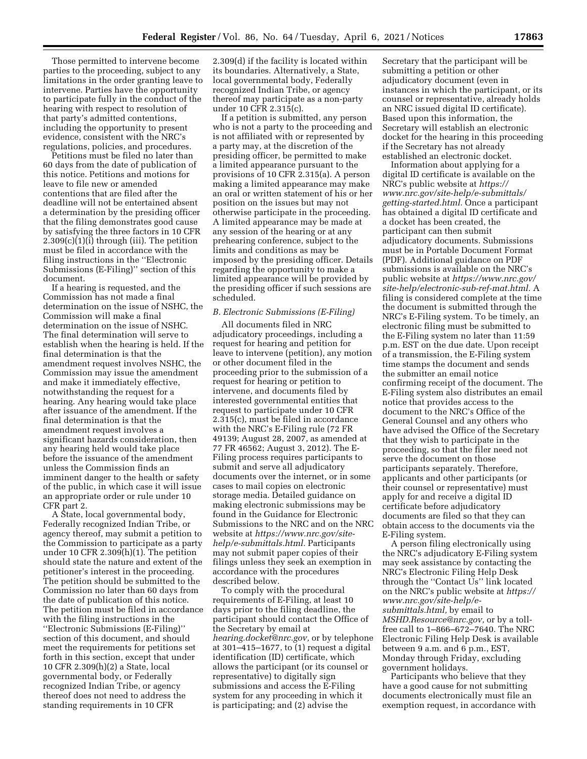Those permitted to intervene become parties to the proceeding, subject to any limitations in the order granting leave to intervene. Parties have the opportunity to participate fully in the conduct of the hearing with respect to resolution of that party's admitted contentions, including the opportunity to present evidence, consistent with the NRC's regulations, policies, and procedures.

Petitions must be filed no later than 60 days from the date of publication of this notice. Petitions and motions for leave to file new or amended contentions that are filed after the deadline will not be entertained absent a determination by the presiding officer that the filing demonstrates good cause by satisfying the three factors in 10 CFR  $2.309(c)(1)(i)$  through (iii). The petition must be filed in accordance with the filing instructions in the ''Electronic Submissions (E-Filing)'' section of this document.

If a hearing is requested, and the Commission has not made a final determination on the issue of NSHC, the Commission will make a final determination on the issue of NSHC. The final determination will serve to establish when the hearing is held. If the final determination is that the amendment request involves NSHC, the Commission may issue the amendment and make it immediately effective, notwithstanding the request for a hearing. Any hearing would take place after issuance of the amendment. If the final determination is that the amendment request involves a significant hazards consideration, then any hearing held would take place before the issuance of the amendment unless the Commission finds an imminent danger to the health or safety of the public, in which case it will issue an appropriate order or rule under 10 CFR part 2.

A State, local governmental body, Federally recognized Indian Tribe, or agency thereof, may submit a petition to the Commission to participate as a party under 10 CFR 2.309(h)(1). The petition should state the nature and extent of the petitioner's interest in the proceeding. The petition should be submitted to the Commission no later than 60 days from the date of publication of this notice. The petition must be filed in accordance with the filing instructions in the ''Electronic Submissions (E-Filing)'' section of this document, and should meet the requirements for petitions set forth in this section, except that under 10 CFR 2.309(h)(2) a State, local governmental body, or Federally recognized Indian Tribe, or agency thereof does not need to address the standing requirements in 10 CFR

2.309(d) if the facility is located within its boundaries. Alternatively, a State, local governmental body, Federally recognized Indian Tribe, or agency thereof may participate as a non-party under 10 CFR 2.315(c).

If a petition is submitted, any person who is not a party to the proceeding and is not affiliated with or represented by a party may, at the discretion of the presiding officer, be permitted to make a limited appearance pursuant to the provisions of 10 CFR 2.315(a). A person making a limited appearance may make an oral or written statement of his or her position on the issues but may not otherwise participate in the proceeding. A limited appearance may be made at any session of the hearing or at any prehearing conference, subject to the limits and conditions as may be imposed by the presiding officer. Details regarding the opportunity to make a limited appearance will be provided by the presiding officer if such sessions are scheduled.

#### *B. Electronic Submissions (E-Filing)*

All documents filed in NRC adjudicatory proceedings, including a request for hearing and petition for leave to intervene (petition), any motion or other document filed in the proceeding prior to the submission of a request for hearing or petition to intervene, and documents filed by interested governmental entities that request to participate under 10 CFR 2.315(c), must be filed in accordance with the NRC's E-Filing rule (72 FR 49139; August 28, 2007, as amended at 77 FR 46562; August 3, 2012). The E-Filing process requires participants to submit and serve all adjudicatory documents over the internet, or in some cases to mail copies on electronic storage media. Detailed guidance on making electronic submissions may be found in the Guidance for Electronic Submissions to the NRC and on the NRC website at *[https://www.nrc.gov/site](https://www.nrc.gov/site-help/e-submittals.html)[help/e-submittals.html.](https://www.nrc.gov/site-help/e-submittals.html)* Participants may not submit paper copies of their filings unless they seek an exemption in accordance with the procedures described below.

To comply with the procedural requirements of E-Filing, at least 10 days prior to the filing deadline, the participant should contact the Office of the Secretary by email at *[hearing.docket@nrc.gov,](mailto:hearing.docket@nrc.gov)* or by telephone at 301–415–1677, to (1) request a digital identification (ID) certificate, which allows the participant (or its counsel or representative) to digitally sign submissions and access the E-Filing system for any proceeding in which it is participating; and (2) advise the

Secretary that the participant will be submitting a petition or other adjudicatory document (even in instances in which the participant, or its counsel or representative, already holds an NRC issued digital ID certificate). Based upon this information, the Secretary will establish an electronic docket for the hearing in this proceeding if the Secretary has not already established an electronic docket.

Information about applying for a digital ID certificate is available on the NRC's public website at *[https://](https://www.nrc.gov/site-help/e-submittals/getting-started.html) [www.nrc.gov/site-help/e-submittals/](https://www.nrc.gov/site-help/e-submittals/getting-started.html) [getting-started.html.](https://www.nrc.gov/site-help/e-submittals/getting-started.html)* Once a participant has obtained a digital ID certificate and a docket has been created, the participant can then submit adjudicatory documents. Submissions must be in Portable Document Format (PDF). Additional guidance on PDF submissions is available on the NRC's public website at *[https://www.nrc.gov/](https://www.nrc.gov/site-help/electronic-sub-ref-mat.html) [site-help/electronic-sub-ref-mat.html.](https://www.nrc.gov/site-help/electronic-sub-ref-mat.html)* A filing is considered complete at the time the document is submitted through the NRC's E-Filing system. To be timely, an electronic filing must be submitted to the E-Filing system no later than 11:59 p.m. EST on the due date. Upon receipt of a transmission, the E-Filing system time stamps the document and sends the submitter an email notice confirming receipt of the document. The E-Filing system also distributes an email notice that provides access to the document to the NRC's Office of the General Counsel and any others who have advised the Office of the Secretary that they wish to participate in the proceeding, so that the filer need not serve the document on those participants separately. Therefore, applicants and other participants (or their counsel or representative) must apply for and receive a digital ID certificate before adjudicatory documents are filed so that they can obtain access to the documents via the E-Filing system.

A person filing electronically using the NRC's adjudicatory E-Filing system may seek assistance by contacting the NRC's Electronic Filing Help Desk through the ''Contact Us'' link located on the NRC's public website at *[https://](https://www.nrc.gov/site-help/e-submittals.html)  [www.nrc.gov/site-help/e](https://www.nrc.gov/site-help/e-submittals.html)[submittals.html,](https://www.nrc.gov/site-help/e-submittals.html)* by email to *[MSHD.Resource@nrc.gov,](mailto:MSHD.Resource@nrc.gov)* or by a tollfree call to 1–866–672–7640. The NRC Electronic Filing Help Desk is available between 9 a.m. and 6 p.m., EST, Monday through Friday, excluding government holidays.

Participants who believe that they have a good cause for not submitting documents electronically must file an exemption request, in accordance with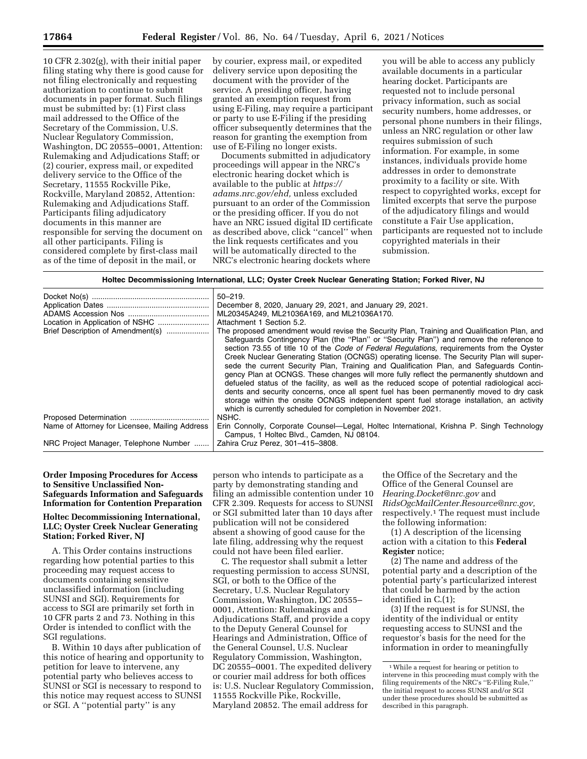10 CFR 2.302(g), with their initial paper filing stating why there is good cause for not filing electronically and requesting authorization to continue to submit documents in paper format. Such filings must be submitted by: (1) First class mail addressed to the Office of the Secretary of the Commission, U.S. Nuclear Regulatory Commission, Washington, DC 20555–0001, Attention: Rulemaking and Adjudications Staff; or (2) courier, express mail, or expedited delivery service to the Office of the Secretary, 11555 Rockville Pike, Rockville, Maryland 20852, Attention: Rulemaking and Adjudications Staff. Participants filing adjudicatory documents in this manner are responsible for serving the document on all other participants. Filing is considered complete by first-class mail as of the time of deposit in the mail, or

by courier, express mail, or expedited delivery service upon depositing the document with the provider of the service. A presiding officer, having granted an exemption request from using E-Filing, may require a participant or party to use E-Filing if the presiding officer subsequently determines that the reason for granting the exemption from use of E-Filing no longer exists.

Documents submitted in adjudicatory proceedings will appear in the NRC's electronic hearing docket which is available to the public at *[https://](https://adams.nrc.gov/ehd) [adams.nrc.gov/ehd,](https://adams.nrc.gov/ehd)* unless excluded pursuant to an order of the Commission or the presiding officer. If you do not have an NRC issued digital ID certificate as described above, click ''cancel'' when the link requests certificates and you will be automatically directed to the NRC's electronic hearing dockets where

you will be able to access any publicly available documents in a particular hearing docket. Participants are requested not to include personal privacy information, such as social security numbers, home addresses, or personal phone numbers in their filings, unless an NRC regulation or other law requires submission of such information. For example, in some instances, individuals provide home addresses in order to demonstrate proximity to a facility or site. With respect to copyrighted works, except for limited excerpts that serve the purpose of the adjudicatory filings and would constitute a Fair Use application, participants are requested not to include copyrighted materials in their submission.

#### **Holtec Decommissioning International, LLC; Oyster Creek Nuclear Generating Station; Forked River, NJ**

|                                                | $50 - 219.$                                                                                        |
|------------------------------------------------|----------------------------------------------------------------------------------------------------|
|                                                | December 8, 2020, January 29, 2021, and January 29, 2021.                                          |
|                                                | ML20345A249, ML21036A169, and ML21036A170.                                                         |
|                                                | Attachment 1 Section 5.2.                                                                          |
|                                                |                                                                                                    |
| Brief Description of Amendment(s)              | The proposed amendment would revise the Security Plan, Training and Qualification Plan, and        |
|                                                | Safeguards Contingency Plan (the "Plan" or "Security Plan") and remove the reference to            |
|                                                | section 73.55 of title 10 of the <i>Code of Federal Regulations</i> , reguirements from the Oyster |
|                                                | Creek Nuclear Generating Station (OCNGS) operating license. The Security Plan will super-          |
|                                                | sede the current Security Plan, Training and Qualification Plan, and Safeguards Contin-            |
|                                                | gency Plan at OCNGS. These changes will more fully reflect the permanently shutdown and            |
|                                                | defueled status of the facility, as well as the reduced scope of potential radiological acci-      |
|                                                | dents and security concerns, once all spent fuel has been permanently moved to dry cask            |
|                                                | storage within the onsite OCNGS independent spent fuel storage installation, an activity           |
|                                                |                                                                                                    |
|                                                | which is currently scheduled for completion in November 2021.                                      |
|                                                | NSHC.                                                                                              |
| Name of Attorney for Licensee, Mailing Address | Erin Connolly, Corporate Counsel—Legal, Holtec International, Krishna P. Singh Technology          |
|                                                | Campus, 1 Holtec Blvd., Camden, NJ 08104.                                                          |
| NRC Project Manager, Telephone Number          | Zahira Cruz Perez, 301-415-3808.                                                                   |
|                                                |                                                                                                    |

### **Order Imposing Procedures for Access to Sensitive Unclassified Non-Safeguards Information and Safeguards Information for Contention Preparation**

### **Holtec Decommissioning International, LLC; Oyster Creek Nuclear Generating Station; Forked River, NJ**

A. This Order contains instructions regarding how potential parties to this proceeding may request access to documents containing sensitive unclassified information (including SUNSI and SGI). Requirements for access to SGI are primarily set forth in 10 CFR parts 2 and 73. Nothing in this Order is intended to conflict with the SGI regulations.

B. Within 10 days after publication of this notice of hearing and opportunity to petition for leave to intervene, any potential party who believes access to SUNSI or SGI is necessary to respond to this notice may request access to SUNSI or SGI. A ''potential party'' is any

person who intends to participate as a party by demonstrating standing and filing an admissible contention under 10 CFR 2.309. Requests for access to SUNSI or SGI submitted later than 10 days after publication will not be considered absent a showing of good cause for the late filing, addressing why the request could not have been filed earlier.

C. The requestor shall submit a letter requesting permission to access SUNSI, SGI, or both to the Office of the Secretary, U.S. Nuclear Regulatory Commission, Washington, DC 20555– 0001, Attention: Rulemakings and Adjudications Staff, and provide a copy to the Deputy General Counsel for Hearings and Administration, Office of the General Counsel, U.S. Nuclear Regulatory Commission, Washington, DC 20555–0001. The expedited delivery or courier mail address for both offices is: U.S. Nuclear Regulatory Commission, 11555 Rockville Pike, Rockville, Maryland 20852. The email address for

the Office of the Secretary and the Office of the General Counsel are *[Hearing.Docket@nrc.gov](mailto:Hearing.Docket@nrc.gov)* and *[RidsOgcMailCenter.Resource@nrc.gov,](mailto:RidsOgcMailCenter.Resource@nrc.gov)*  respectively.1 The request must include the following information:

(1) A description of the licensing action with a citation to this **Federal Register** notice;

(2) The name and address of the potential party and a description of the potential party's particularized interest that could be harmed by the action identified in C.(1);

(3) If the request is for SUNSI, the identity of the individual or entity requesting access to SUNSI and the requestor's basis for the need for the information in order to meaningfully

<sup>1</sup>While a request for hearing or petition to intervene in this proceeding must comply with the filing requirements of the NRC's ''E-Filing Rule,'' the initial request to access SUNSI and/or SGI under these procedures should be submitted as described in this paragraph.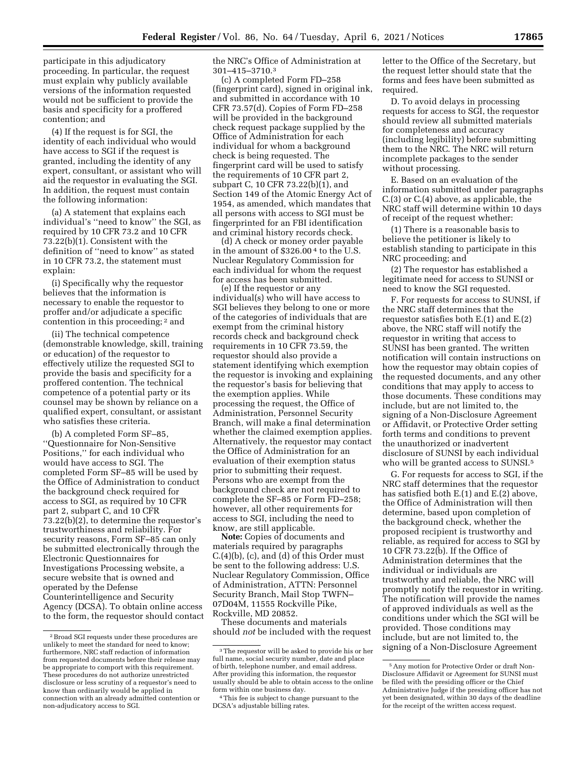participate in this adjudicatory proceeding. In particular, the request must explain why publicly available versions of the information requested would not be sufficient to provide the basis and specificity for a proffered contention; and

(4) If the request is for SGI, the identity of each individual who would have access to SGI if the request is granted, including the identity of any expert, consultant, or assistant who will aid the requestor in evaluating the SGI. In addition, the request must contain the following information:

(a) A statement that explains each individual's ''need to know'' the SGI, as required by 10 CFR 73.2 and 10 CFR 73.22(b)(1). Consistent with the definition of ''need to know'' as stated in 10 CFR 73.2, the statement must explain:

(i) Specifically why the requestor believes that the information is necessary to enable the requestor to proffer and/or adjudicate a specific contention in this proceeding; 2 and

(ii) The technical competence (demonstrable knowledge, skill, training or education) of the requestor to effectively utilize the requested SGI to provide the basis and specificity for a proffered contention. The technical competence of a potential party or its counsel may be shown by reliance on a qualified expert, consultant, or assistant who satisfies these criteria.

(b) A completed Form SF–85, ''Questionnaire for Non-Sensitive Positions,'' for each individual who would have access to SGI. The completed Form SF–85 will be used by the Office of Administration to conduct the background check required for access to SGI, as required by 10 CFR part 2, subpart C, and 10 CFR 73.22(b)(2), to determine the requestor's trustworthiness and reliability. For security reasons, Form SF–85 can only be submitted electronically through the Electronic Questionnaires for Investigations Processing website, a secure website that is owned and operated by the Defense Counterintelligence and Security Agency (DCSA). To obtain online access to the form, the requestor should contact the NRC's Office of Administration at 301–415–3710.3

(c) A completed Form FD–258 (fingerprint card), signed in original ink, and submitted in accordance with 10 CFR 73.57(d). Copies of Form FD–258 will be provided in the background check request package supplied by the Office of Administration for each individual for whom a background check is being requested. The fingerprint card will be used to satisfy the requirements of 10 CFR part 2, subpart C, 10 CFR 73.22(b)(1), and Section 149 of the Atomic Energy Act of 1954, as amended, which mandates that all persons with access to SGI must be fingerprinted for an FBI identification and criminal history records check.

(d) A check or money order payable in the amount of \$326.00 4 to the U.S. Nuclear Regulatory Commission for each individual for whom the request for access has been submitted.

(e) If the requestor or any individual(s) who will have access to SGI believes they belong to one or more of the categories of individuals that are exempt from the criminal history records check and background check requirements in 10 CFR 73.59, the requestor should also provide a statement identifying which exemption the requestor is invoking and explaining the requestor's basis for believing that the exemption applies. While processing the request, the Office of Administration, Personnel Security Branch, will make a final determination whether the claimed exemption applies. Alternatively, the requestor may contact the Office of Administration for an evaluation of their exemption status prior to submitting their request. Persons who are exempt from the background check are not required to complete the SF–85 or Form FD–258; however, all other requirements for access to SGI, including the need to know, are still applicable.

**Note:** Copies of documents and materials required by paragraphs C.(4)(b), (c), and (d) of this Order must be sent to the following address: U.S. Nuclear Regulatory Commission, Office of Administration, ATTN: Personnel Security Branch, Mail Stop TWFN– 07D04M, 11555 Rockville Pike, Rockville, MD 20852.

These documents and materials should *not* be included with the request

letter to the Office of the Secretary, but the request letter should state that the forms and fees have been submitted as required.

D. To avoid delays in processing requests for access to SGI, the requestor should review all submitted materials for completeness and accuracy (including legibility) before submitting them to the NRC. The NRC will return incomplete packages to the sender without processing.

E. Based on an evaluation of the information submitted under paragraphs C.(3) or C.(4) above, as applicable, the NRC staff will determine within 10 days of receipt of the request whether:

(1) There is a reasonable basis to believe the petitioner is likely to establish standing to participate in this NRC proceeding; and

(2) The requestor has established a legitimate need for access to SUNSI or need to know the SGI requested.

F. For requests for access to SUNSI, if the NRC staff determines that the requestor satisfies both E.(1) and E.(2) above, the NRC staff will notify the requestor in writing that access to SUNSI has been granted. The written notification will contain instructions on how the requestor may obtain copies of the requested documents, and any other conditions that may apply to access to those documents. These conditions may include, but are not limited to, the signing of a Non-Disclosure Agreement or Affidavit, or Protective Order setting forth terms and conditions to prevent the unauthorized or inadvertent disclosure of SUNSI by each individual who will be granted access to SUNSI.<sup>5</sup>

G. For requests for access to SGI, if the NRC staff determines that the requestor has satisfied both E.(1) and E.(2) above, the Office of Administration will then determine, based upon completion of the background check, whether the proposed recipient is trustworthy and reliable, as required for access to SGI by 10 CFR 73.22(b). If the Office of Administration determines that the individual or individuals are trustworthy and reliable, the NRC will promptly notify the requestor in writing. The notification will provide the names of approved individuals as well as the conditions under which the SGI will be provided. Those conditions may include, but are not limited to, the signing of a Non-Disclosure Agreement

<sup>2</sup>Broad SGI requests under these procedures are unlikely to meet the standard for need to know; furthermore, NRC staff redaction of information from requested documents before their release may be appropriate to comport with this requirement. These procedures do not authorize unrestricted disclosure or less scrutiny of a requestor's need to know than ordinarily would be applied in connection with an already admitted contention or non-adjudicatory access to SGI.

<sup>3</sup>The requestor will be asked to provide his or her full name, social security number, date and place of birth, telephone number, and email address. After providing this information, the requestor usually should be able to obtain access to the online form within one business day.

<sup>4</sup>This fee is subject to change pursuant to the DCSA's adjustable billing rates.

<sup>5</sup>Any motion for Protective Order or draft Non-Disclosure Affidavit or Agreement for SUNSI must be filed with the presiding officer or the Chief Administrative Judge if the presiding officer has not yet been designated, within 30 days of the deadline for the receipt of the written access request.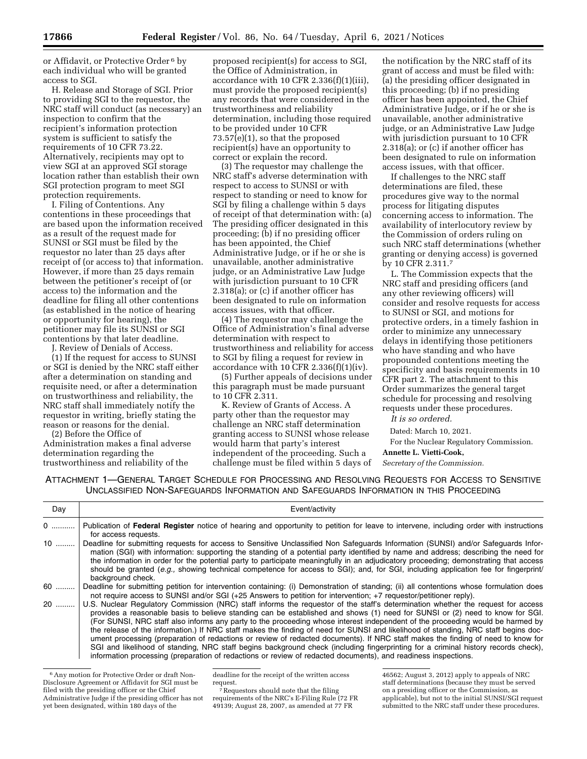or Affidavit, or Protective Order 6 by each individual who will be granted access to SGI.

H. Release and Storage of SGI. Prior to providing SGI to the requestor, the NRC staff will conduct (as necessary) an inspection to confirm that the recipient's information protection system is sufficient to satisfy the requirements of 10 CFR 73.22. Alternatively, recipients may opt to view SGI at an approved SGI storage location rather than establish their own SGI protection program to meet SGI protection requirements.

I. Filing of Contentions. Any contentions in these proceedings that are based upon the information received as a result of the request made for SUNSI or SGI must be filed by the requestor no later than 25 days after receipt of (or access to) that information. However, if more than 25 days remain between the petitioner's receipt of (or access to) the information and the deadline for filing all other contentions (as established in the notice of hearing or opportunity for hearing), the petitioner may file its SUNSI or SGI contentions by that later deadline.

J. Review of Denials of Access. (1) If the request for access to SUNSI or SGI is denied by the NRC staff either after a determination on standing and requisite need, or after a determination on trustworthiness and reliability, the NRC staff shall immediately notify the requestor in writing, briefly stating the reason or reasons for the denial.

(2) Before the Office of Administration makes a final adverse determination regarding the trustworthiness and reliability of the

proposed recipient(s) for access to SGI, the Office of Administration, in accordance with 10 CFR 2.336(f)(1)(iii), must provide the proposed recipient(s) any records that were considered in the trustworthiness and reliability determination, including those required to be provided under 10 CFR 73.57(e)(1), so that the proposed recipient(s) have an opportunity to correct or explain the record.

(3) The requestor may challenge the NRC staff's adverse determination with respect to access to SUNSI or with respect to standing or need to know for SGI by filing a challenge within 5 days of receipt of that determination with: (a) The presiding officer designated in this proceeding; (b) if no presiding officer has been appointed, the Chief Administrative Judge, or if he or she is unavailable, another administrative judge, or an Administrative Law Judge with jurisdiction pursuant to 10 CFR 2.318(a); or (c) if another officer has been designated to rule on information access issues, with that officer.

(4) The requestor may challenge the Office of Administration's final adverse determination with respect to trustworthiness and reliability for access to SGI by filing a request for review in accordance with 10 CFR  $2.336(f)(1)(iv)$ .

(5) Further appeals of decisions under this paragraph must be made pursuant to 10 CFR 2.311.

K. Review of Grants of Access. A party other than the requestor may challenge an NRC staff determination granting access to SUNSI whose release would harm that party's interest independent of the proceeding. Such a challenge must be filed within 5 days of

the notification by the NRC staff of its grant of access and must be filed with: (a) the presiding officer designated in this proceeding; (b) if no presiding officer has been appointed, the Chief Administrative Judge, or if he or she is unavailable, another administrative judge, or an Administrative Law Judge with jurisdiction pursuant to 10 CFR 2.318(a); or (c) if another officer has been designated to rule on information access issues, with that officer.

If challenges to the NRC staff determinations are filed, these procedures give way to the normal process for litigating disputes concerning access to information. The availability of interlocutory review by the Commission of orders ruling on such NRC staff determinations (whether granting or denying access) is governed by 10 CFR 2.311.7

L. The Commission expects that the NRC staff and presiding officers (and any other reviewing officers) will consider and resolve requests for access to SUNSI or SGI, and motions for protective orders, in a timely fashion in order to minimize any unnecessary delays in identifying those petitioners who have standing and who have propounded contentions meeting the specificity and basis requirements in 10 CFR part 2. The attachment to this Order summarizes the general target schedule for processing and resolving requests under these procedures.

*It is so ordered.* 

Dated: March 10, 2021.

For the Nuclear Regulatory Commission.

#### **Annette L. Vietti-Cook,**

*Secretary of the Commission.* 

ATTACHMENT 1—GENERAL TARGET SCHEDULE FOR PROCESSING AND RESOLVING REQUESTS FOR ACCESS TO SENSITIVE UNCLASSIFIED NON-SAFEGUARDS INFORMATION AND SAFEGUARDS INFORMATION IN THIS PROCEEDING

| Day | Event/activity                                                                                                                                                                                                                                                                                                                                                                                                                                                                                                                                                                                                                                                                                                                                                                                                                                                                                                                        |
|-----|---------------------------------------------------------------------------------------------------------------------------------------------------------------------------------------------------------------------------------------------------------------------------------------------------------------------------------------------------------------------------------------------------------------------------------------------------------------------------------------------------------------------------------------------------------------------------------------------------------------------------------------------------------------------------------------------------------------------------------------------------------------------------------------------------------------------------------------------------------------------------------------------------------------------------------------|
| 0   | Publication of Federal Register notice of hearing and opportunity to petition for leave to intervene, including order with instructions<br>for access requests.                                                                                                                                                                                                                                                                                                                                                                                                                                                                                                                                                                                                                                                                                                                                                                       |
| 10  | Deadline for submitting requests for access to Sensitive Unclassified Non Safeguards Information (SUNSI) and/or Safeguards Infor-<br>mation (SGI) with information: supporting the standing of a potential party identified by name and address; describing the need for<br>the information in order for the potential party to participate meaningfully in an adjudicatory proceeding; demonstrating that access<br>should be granted (e.g., showing technical competence for access to SGI); and, for SGI, including application fee for fingerprint/<br>background check.                                                                                                                                                                                                                                                                                                                                                          |
| 60  | Deadline for submitting petition for intervention containing: (i) Demonstration of standing; (ii) all contentions whose formulation does<br>not require access to SUNSI and/or SGI (+25 Answers to petition for intervention; +7 requestor/petitioner reply).                                                                                                                                                                                                                                                                                                                                                                                                                                                                                                                                                                                                                                                                         |
| 20  | U.S. Nuclear Regulatory Commission (NRC) staff informs the requestor of the staff's determination whether the request for access<br>provides a reasonable basis to believe standing can be established and shows (1) need for SUNSI or (2) need to know for SGI.<br>(For SUNSI, NRC staff also informs any party to the proceeding whose interest independent of the proceeding would be harmed by<br>the release of the information.) If NRC staff makes the finding of need for SUNSI and likelihood of standing, NRC staff begins doc-<br>ument processing (preparation of redactions or review of redacted documents). If NRC staff makes the finding of need to know for<br>SGI and likelihood of standing, NRC staff begins background check (including fingerprinting for a criminal history records check),<br>information processing (preparation of redactions or review of redacted documents), and readiness inspections. |

<sup>&</sup>lt;sup>6</sup> Any motion for Protective Order or draft Non-Disclosure Agreement or Affidavit for SGI must be filed with the presiding officer or the Chief Administrative Judge if the presiding officer has not yet been designated, within 180 days of the

deadline for the receipt of the written access request.<br><sup>7</sup>Requestors should note that the filing

requirements of the NRC's E-Filing Rule (72 FR 49139; August 28, 2007, as amended at 77 FR

46562; August 3, 2012) apply to appeals of NRC staff determinations (because they must be served on a presiding officer or the Commission, as applicable), but not to the initial SUNSI/SGI request submitted to the NRC staff under these procedures.